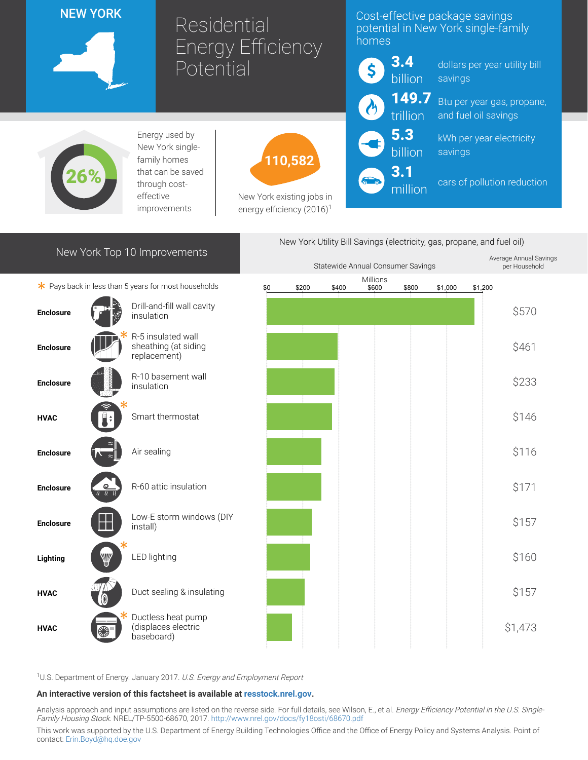### NEW YORK



# Residential Energy Efficiency **Potential**

### Cost-effective package savings potential in New York single-family homes

3.4 \$ billion 149.7 trillion 5.3 billion 3.1 million

dollars per year utility bill savings

Btu per year gas, propane, and fuel oil savings

kWh per year electricity savings

cars of pollution reduction



Energy used by New York singlefamily homes that can be saved through costeffective improvements



New York existing jobs in energy efficiency  $(2016)^1$ 

## New York Top 10 Improvements

 $*$  Pays back in less than 5 years for most households





<sup>1</sup>U.S. Department of Energy. January 2017. U.S. Energy and Employment Report

baseboard)

#### An interactive version of this factsheet is available at [resstock.nrel.gov.](https://resstock.nrel.gov/)

Analysis approach and input assumptions are listed on the reverse side. For full details, see Wilson, E., et al. Energy Efficiency Potential in the U.S. Single-Family Housing Stock. NREL/TP-5500-68670, 2017. <http://www.nrel.gov/docs/fy18osti/68670.pdf>

This work was supported by the U.S. Department of Energy Building Technologies Office and the Office of Energy Policy and Systems Analysis. Point of contact: [Erin.Boyd@hq.doe.gov](mailto:Erin.Boyd@hq.doe.gov)